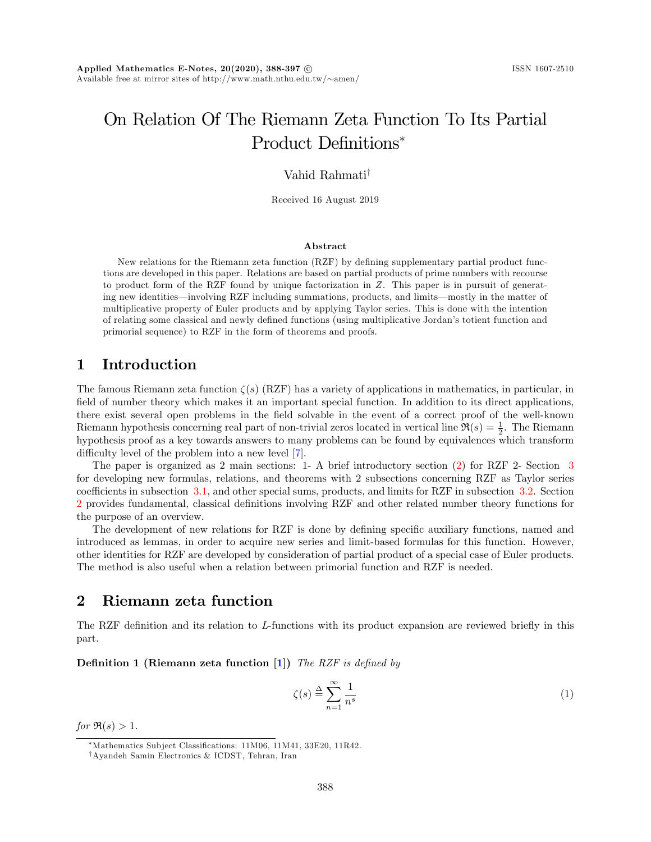# On Relation Of The Riemann Zeta Function To Its Partial Product Definitions<sup>\*</sup>

Vahid Rahmati<sup>†</sup>

Received 16 August 2019

#### Abstract

New relations for the Riemann zeta function  $(RZF)$  by defining supplementary partial product functions are developed in this paper. Relations are based on partial products of prime numbers with recourse to product form of the RZF found by unique factorization in Z. This paper is in pursuit of generating new identities—involving RZF including summations, products, and limits—mostly in the matter of multiplicative property of Euler products and by applying Taylor series. This is done with the intention of relating some classical and newly defined functions (using multiplicative Jordan's totient function and primorial sequence) to RZF in the form of theorems and proofs.

## 1 Introduction

The famous Riemann zeta function  $\zeta(s)$  (RZF) has a variety of applications in mathematics, in particular, in field of number theory which makes it an important special function. In addition to its direct applications, there exist several open problems in the field solvable in the event of a correct proof of the well-known Riemann hypothesis concerning real part of non-trivial zeros located in vertical line  $\Re(s) = \frac{1}{2}$ . The Riemann hypothesis proof as a key towards answers to many problems can be found by equivalences which transform difficulty level of the problem into a new level [\[7\]](#page-9-0).

The paper is organized as 2 main sections: 1- A brief introductory section [\(2\)](#page-0-0) for RZF 2- Section [3](#page-1-0) for developing new formulas, relations, and theorems with 2 subsections concerning RZF as Taylor series coefficients in subsection [3.1,](#page-1-1) and other special sums, products, and limits for RZF in subsection [3.2.](#page-6-0) Section [2](#page-0-0) provides fundamental, classical definitions involving RZF and other related number theory functions for the purpose of an overview.

The development of new relations for RZF is done by defining specific auxiliary functions, named and introduced as lemmas, in order to acquire new series and limit-based formulas for this function. However, other identities for RZF are developed by consideration of partial product of a special case of Euler products. The method is also useful when a relation between primorial function and RZF is needed.

## <span id="page-0-0"></span>2 Riemann zeta function

The RZF definition and its relation to L-functions with its product expansion are reviewed briefly in this part.

**Definition 1 (Riemann zeta function [\[1\]](#page-8-0))** The RZF is defined by

<span id="page-0-1"></span>
$$
\zeta(s) \stackrel{\Delta}{=} \sum_{n=1}^{\infty} \frac{1}{n^s} \tag{1}
$$

for  $\Re(s) > 1$ .

<sup>\*</sup>Mathematics Subject Classifications: 11M06, 11M41, 33E20, 11R42.

<sup>&</sup>lt;sup>†</sup>Ayandeh Samin Electronics & ICDST, Tehran, Iran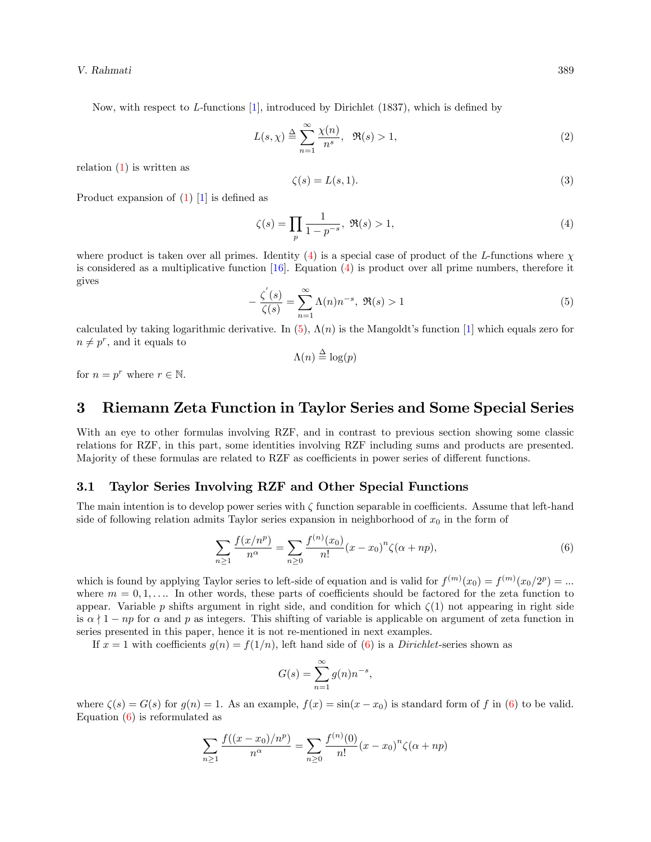Now, with respect to  $L$ -functions [\[1\]](#page-8-0), introduced by Dirichlet (1837), which is defined by

$$
L(s,\chi) \stackrel{\Delta}{=} \sum_{n=1}^{\infty} \frac{\chi(n)}{n^s}, \quad \Re(s) > 1,
$$
 (2)

relation  $(1)$  is written as

$$
\zeta(s) = L(s, 1). \tag{3}
$$

Product expansion of  $(1)$  [\[1\]](#page-8-0) is defined as

<span id="page-1-2"></span>
$$
\zeta(s) = \prod_{p} \frac{1}{1 - p^{-s}}, \ \Re(s) > 1,\tag{4}
$$

where product is taken over all primes. Identity  $(4)$  is a special case of product of the L-functions where  $\chi$ is considered as a multiplicative function  $[16]$ . Equation  $(4)$  is product over all prime numbers, therefore it gives

<span id="page-1-3"></span>
$$
-\frac{\zeta'(s)}{\zeta(s)} = \sum_{n=1}^{\infty} \Lambda(n) n^{-s}, \ \Re(s) > 1 \tag{5}
$$

calculated by taking logarithmic derivative. In [\(5\)](#page-1-3),  $\Lambda(n)$  is the Mangoldt's function [\[1\]](#page-8-0) which equals zero for  $n \neq p^r$ , and it equals to

$$
\Lambda(n) \stackrel{\Delta}{=} \log(p)
$$

for  $n = p^r$  where  $r \in \mathbb{N}$ .

## <span id="page-1-0"></span>3 Riemann Zeta Function in Taylor Series and Some Special Series

With an eye to other formulas involving RZF, and in contrast to previous section showing some classic relations for RZF, in this part, some identities involving RZF including sums and products are presented. Majority of these formulas are related to RZF as coefficients in power series of different functions.

#### <span id="page-1-1"></span>3.1 Taylor Series Involving RZF and Other Special Functions

The main intention is to develop power series with  $\zeta$  function separable in coefficients. Assume that left-hand side of following relation admits Taylor series expansion in neighborhood of  $x_0$  in the form of

<span id="page-1-4"></span>
$$
\sum_{n\geq 1} \frac{f(x/n^p)}{n^{\alpha}} = \sum_{n\geq 0} \frac{f^{(n)}(x_0)}{n!} (x - x_0)^n \zeta(\alpha + np),\tag{6}
$$

which is found by applying Taylor series to left-side of equation and is valid for  $f^{(m)}(x_0) = f^{(m)}(x_0/2^p) = ...$ where  $m = 0, 1, \ldots$  In other words, these parts of coefficients should be factored for the zeta function to appear. Variable p shifts argument in right side, and condition for which  $\zeta(1)$  not appearing in right side is  $\alpha \nmid 1 - np$  for  $\alpha$  and p as integers. This shifting of variable is applicable on argument of zeta function in series presented in this paper, hence it is not re-mentioned in next examples.

If  $x = 1$  with coefficients  $g(n) = f(1/n)$ , left hand side of [\(6\)](#page-1-4) is a *Dirichlet*-series shown as

$$
G(s) = \sum_{n=1}^{\infty} g(n) n^{-s},
$$

where  $\zeta(s) = G(s)$  for  $g(n) = 1$ . As an example,  $f(x) = \sin(x - x_0)$  is standard form of f in [\(6\)](#page-1-4) to be valid. Equation [\(6\)](#page-1-4) is reformulated as

$$
\sum_{n\geq 1} \frac{f((x-x_0)/n^p)}{n^{\alpha}} = \sum_{n\geq 0} \frac{f^{(n)}(0)}{n!} (x-x_0)^n \zeta(\alpha+np)
$$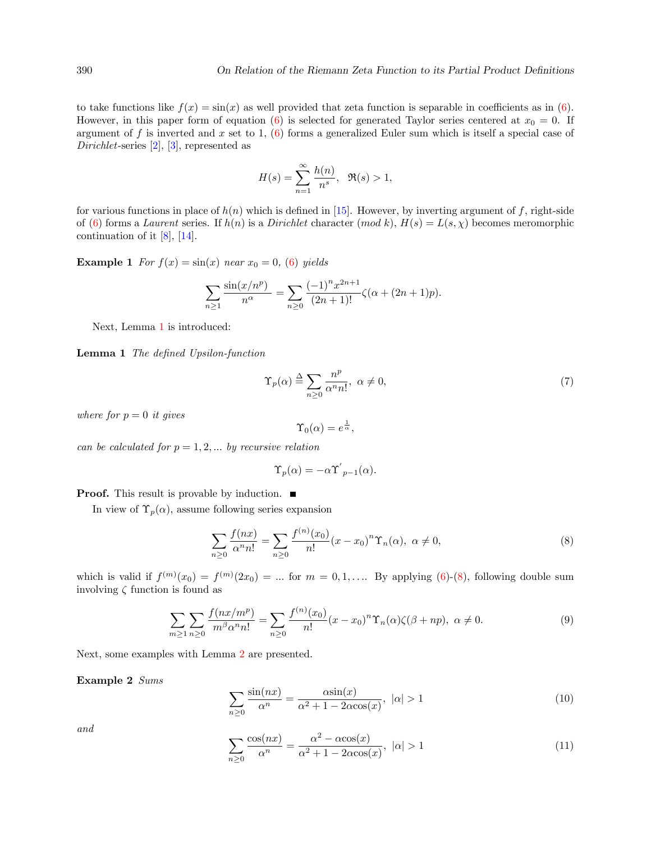to take functions like  $f(x) = \sin(x)$  as well provided that zeta function is separable in coefficients as in [\(6\)](#page-1-4). However, in this paper form of equation [\(6\)](#page-1-4) is selected for generated Taylor series centered at  $x_0 = 0$ . If argument of f is inverted and x set to 1,  $(6)$  forms a generalized Euler sum which is itself a special case of Dirichlet-series [\[2\]](#page-8-1), [\[3\]](#page-8-2), represented as

$$
H(s) = \sum_{n=1}^{\infty} \frac{h(n)}{n^s}, \quad \Re(s) > 1,
$$

for various functions in place of  $h(n)$  which is defined in [\[15\]](#page-9-2). However, by inverting argument of f, right-side of [\(6\)](#page-1-4) forms a Laurent series. If  $h(n)$  is a Dirichlet character  $(mod k)$ ,  $H(s) = L(s, \chi)$  becomes meromorphic continuation of it  $[8]$ ,  $[14]$ .

**Example 1** For  $f(x) = \sin(x)$  near  $x_0 = 0$ , [\(6\)](#page-1-4) yields

$$
\sum_{n\geq 1} \frac{\sin(x/n^p)}{n^{\alpha}} = \sum_{n\geq 0} \frac{(-1)^n x^{2n+1}}{(2n+1)!} \zeta(\alpha + (2n+1)p).
$$

Next, Lemma [1](#page-2-0) is introduced:

<span id="page-2-0"></span>Lemma 1 The defined Upsilon-function

$$
\Upsilon_p(\alpha) \stackrel{\Delta}{=} \sum_{n \ge 0} \frac{n^p}{\alpha^n n!}, \ \alpha \ne 0,
$$
\n(7)

where for  $p = 0$  it gives

$$
\Upsilon_0(\alpha) = e^{\frac{1}{\alpha}},
$$

can be calculated for  $p = 1, 2, \dots$  by recursive relation

$$
\Upsilon_p(\alpha) = -\alpha \Upsilon'_{p-1}(\alpha).
$$

**Proof.** This result is provable by induction.  $\blacksquare$ 

In view of  $\Upsilon_p(\alpha)$ , assume following series expansion

<span id="page-2-1"></span>
$$
\sum_{n\geq 0} \frac{f(nx)}{\alpha^n n!} = \sum_{n\geq 0} \frac{f^{(n)}(x_0)}{n!} (x - x_0)^n \Upsilon_n(\alpha), \ \alpha \neq 0,
$$
\n(8)

which is valid if  $f^{(m)}(x_0) = f^{(m)}(2x_0) = ...$  for  $m = 0, 1, ...$  By applying [\(6\)](#page-1-4)-[\(8\)](#page-2-1), following double sum involving  $\zeta$  function is found as

<span id="page-2-4"></span>
$$
\sum_{m\geq 1} \sum_{n\geq 0} \frac{f(nx/m^p)}{m^{\beta} \alpha^n n!} = \sum_{n\geq 0} \frac{f^{(n)}(x_0)}{n!} (x - x_0)^n \Upsilon_n(\alpha) \zeta(\beta + np), \ \alpha \neq 0. \tag{9}
$$

Next, some examples with Lemma [2](#page-3-0) are presented.

Example 2 Sums

<span id="page-2-2"></span>
$$
\sum_{n\geq 0} \frac{\sin(nx)}{\alpha^n} = \frac{\alpha \sin(x)}{\alpha^2 + 1 - 2\alpha \cos(x)}, \quad |\alpha| > 1
$$
\n(10)

and

<span id="page-2-3"></span>
$$
\sum_{n\geq 0} \frac{\cos(nx)}{\alpha^n} = \frac{\alpha^2 - \alpha \cos(x)}{\alpha^2 + 1 - 2\alpha \cos(x)}, \quad |\alpha| > 1
$$
\n(11)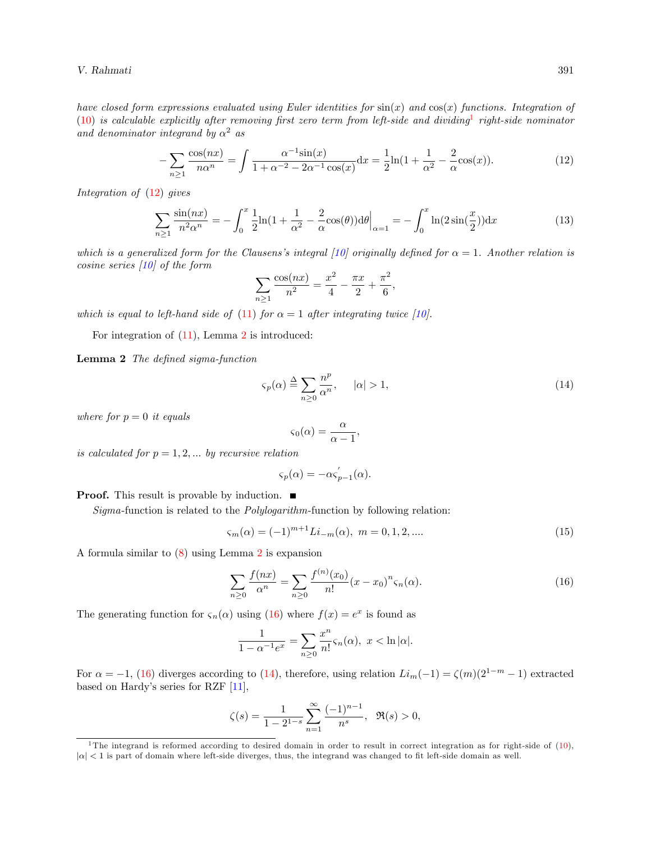V. Rahmati 391

have closed form expressions evaluated using Euler identities for  $sin(x)$  and  $cos(x)$  functions. Integration of  $(10)$  is calculable explicitly after removing first zero term from left-side and dividing right-side nominator and denominator integrand by  $\alpha^2$  as

<span id="page-3-2"></span>
$$
-\sum_{n\geq 1} \frac{\cos(nx)}{n\alpha^n} = \int \frac{\alpha^{-1}\sin(x)}{1 + \alpha^{-2} - 2\alpha^{-1}\cos(x)} dx = \frac{1}{2}\ln(1 + \frac{1}{\alpha^2} - \frac{2}{\alpha}\cos(x)).
$$
 (12)

Integration of [\(12\)](#page-3-2) gives

$$
\sum_{n\geq 1} \frac{\sin(nx)}{n^2 \alpha^n} = -\int_0^x \frac{1}{2} \ln(1 + \frac{1}{\alpha^2} - \frac{2}{\alpha} \cos(\theta)) d\theta \Big|_{\alpha=1} = -\int_0^x \ln(2\sin(\frac{x}{2})) dx \tag{13}
$$

which is a generalized form for the Clausens's integral [\[10\]](#page-9-5) originally defined for  $\alpha = 1$ . Another relation is cosine series [\[10\]](#page-9-5) of the form

$$
\sum_{n\geq 1} \frac{\cos(nx)}{n^2} = \frac{x^2}{4} - \frac{\pi x}{2} + \frac{\pi^2}{6},
$$

which is equal to left-hand side of [\(11\)](#page-2-3) for  $\alpha = 1$  after integrating twice [\[10\]](#page-9-5).

For integration of  $(11)$ , Lemma [2](#page-3-0) is introduced:

<span id="page-3-0"></span>Lemma 2 The defined sigma-function

<span id="page-3-4"></span>
$$
\varsigma_p(\alpha) \stackrel{\Delta}{=} \sum_{n \ge 0} \frac{n^p}{\alpha^n}, \qquad |\alpha| > 1,\tag{14}
$$

where for  $p = 0$  it equals

$$
\varsigma_0(\alpha) = \frac{\alpha}{\alpha - 1}
$$

;

is calculated for  $p = 1, 2, \ldots$  by recursive relation

$$
\varsigma_p(\alpha) = -\alpha \varsigma_{p-1}'(\alpha).
$$

**Proof.** This result is provable by induction.  $\blacksquare$ 

Sigma-function is related to the Polylogarithm-function by following relation:

<span id="page-3-5"></span>
$$
\varsigma_m(\alpha) = (-1)^{m+1} Li_{-m}(\alpha), \ m = 0, 1, 2, \dots
$$
\n(15)

A formula similar to [\(8\)](#page-2-1) using Lemma [2](#page-3-0) is expansion

<span id="page-3-3"></span>
$$
\sum_{n\geq 0} \frac{f(nx)}{\alpha^n} = \sum_{n\geq 0} \frac{f^{(n)}(x_0)}{n!} (x - x_0)^n \varsigma_n(\alpha). \tag{16}
$$

The generating function for  $\varsigma_n(\alpha)$  using [\(16\)](#page-3-3) where  $f(x) = e^x$  is found as

$$
\frac{1}{1-\alpha^{-1}e^x} = \sum_{n\geq 0} \frac{x^n}{n!} \varsigma_n(\alpha), \ x < \ln|\alpha|.
$$

For  $\alpha = -1$ , [\(16\)](#page-3-3) diverges according to [\(14\)](#page-3-4), therefore, using relation  $Li_m(-1) = \zeta(m)(2^{1-m} - 1)$  extracted based on Hardy's series for RZF  $[11]$ ,

$$
\zeta(s) = \frac{1}{1 - 2^{1-s}} \sum_{n=1}^{\infty} \frac{(-1)^{n-1}}{n^s}, \ \Re(s) > 0,
$$

<span id="page-3-1"></span><sup>&</sup>lt;sup>1</sup>The integrand is reformed according to desired domain in order to result in correct integration as for right-side of  $(10)$ ,  $|\alpha|$  < 1 is part of domain where left-side diverges, thus, the integrand was changed to fit left-side domain as well.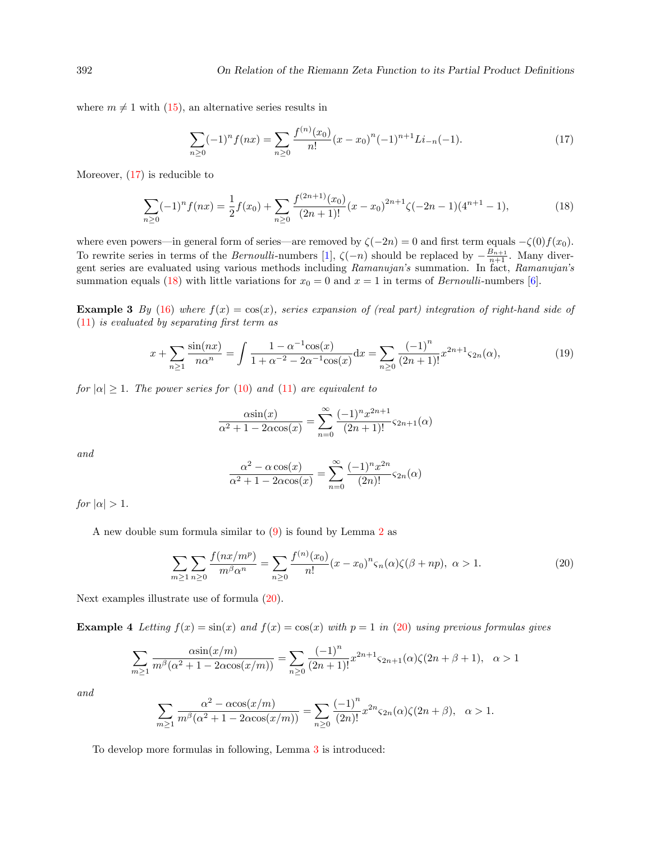where  $m \neq 1$  with [\(15\)](#page-3-5), an alternative series results in

<span id="page-4-0"></span>
$$
\sum_{n\geq 0} (-1)^n f(nx) = \sum_{n\geq 0} \frac{f^{(n)}(x_0)}{n!} (x - x_0)^n (-1)^{n+1} Li_{-n}(-1).
$$
 (17)

Moreover, [\(17\)](#page-4-0) is reducible to

<span id="page-4-1"></span>
$$
\sum_{n\geq 0} (-1)^n f(nx) = \frac{1}{2} f(x_0) + \sum_{n\geq 0} \frac{f^{(2n+1)}(x_0)}{(2n+1)!} (x - x_0)^{2n+1} \zeta(-2n-1) (4^{n+1} - 1),\tag{18}
$$

where even powers—in general form of series—are removed by  $\zeta(-2n) = 0$  and first term equals  $-\zeta(0)f(x_0)$ . To rewrite series in terms of the *Bernoulli*-numbers [\[1\]](#page-8-0),  $\zeta(-n)$  should be replaced by  $-\frac{B_{n+1}}{n+1}$ . Many divergent series are evaluated using various methods including Ramanujan's summation. In fact, Ramanujan's summation equals [\(18\)](#page-4-1) with little variations for  $x_0 = 0$  and  $x = 1$  in terms of *Bernoulli-numbers* [\[6\]](#page-8-3).

**Example 3** By [\(16\)](#page-3-3) where  $f(x) = cos(x)$ , series expansion of (real part) integration of right-hand side of  $(11)$  is evaluated by separating first term as

$$
x + \sum_{n\geq 1} \frac{\sin(nx)}{n\alpha^n} = \int \frac{1 - \alpha^{-1}\cos(x)}{1 + \alpha^{-2} - 2\alpha^{-1}\cos(x)} dx = \sum_{n\geq 0} \frac{(-1)^n}{(2n+1)!} x^{2n+1} \varsigma_{2n}(\alpha),\tag{19}
$$

for  $|\alpha| \geq 1$ . The power series for [\(10\)](#page-2-2) and [\(11\)](#page-2-3) are equivalent to

$$
\frac{\alpha \sin(x)}{\alpha^2 + 1 - 2\alpha \cos(x)} = \sum_{n=0}^{\infty} \frac{(-1)^n x^{2n+1}}{(2n+1)!} \varsigma_{2n+1}(\alpha)
$$

and

$$
\frac{\alpha^2 - \alpha \cos(x)}{\alpha^2 + 1 - 2\alpha \cos(x)} = \sum_{n=0}^{\infty} \frac{(-1)^n x^{2n}}{(2n)!} \varsigma_{2n}(\alpha)
$$

for  $|\alpha| > 1$ .

A new double sum formula similar to [\(9\)](#page-2-4) is found by Lemma [2](#page-3-0) as

<span id="page-4-2"></span>
$$
\sum_{m\geq 1} \sum_{n\geq 0} \frac{f(nx/m^p)}{m^{\beta} \alpha^n} = \sum_{n\geq 0} \frac{f^{(n)}(x_0)}{n!} (x - x_0)^n \varsigma_n(\alpha) \zeta(\beta + np), \ \alpha > 1. \tag{20}
$$

Next examples illustrate use of formula [\(20\)](#page-4-2).

**Example 4** Letting  $f(x) = \sin(x)$  and  $f(x) = \cos(x)$  with  $p = 1$  in [\(20\)](#page-4-2) using previous formulas gives

$$
\sum_{m\geq 1} \frac{\alpha \sin(x/m)}{m^{\beta}(\alpha^2 + 1 - 2\alpha \cos(x/m))} = \sum_{n\geq 0} \frac{(-1)^n}{(2n+1)!} x^{2n+1} \varsigma_{2n+1}(\alpha) \zeta(2n+\beta+1), \quad \alpha > 1
$$

and

$$
\sum_{m\geq 1} \frac{\alpha^2 - \alpha \cos(x/m)}{m^{\beta}(\alpha^2 + 1 - 2\alpha \cos(x/m))} = \sum_{n\geq 0} \frac{(-1)^n}{(2n)!} x^{2n} \varsigma_{2n}(\alpha) \zeta(2n + \beta), \quad \alpha > 1.
$$

<span id="page-4-3"></span>To develop more formulas in following, Lemma [3](#page-4-3) is introduced: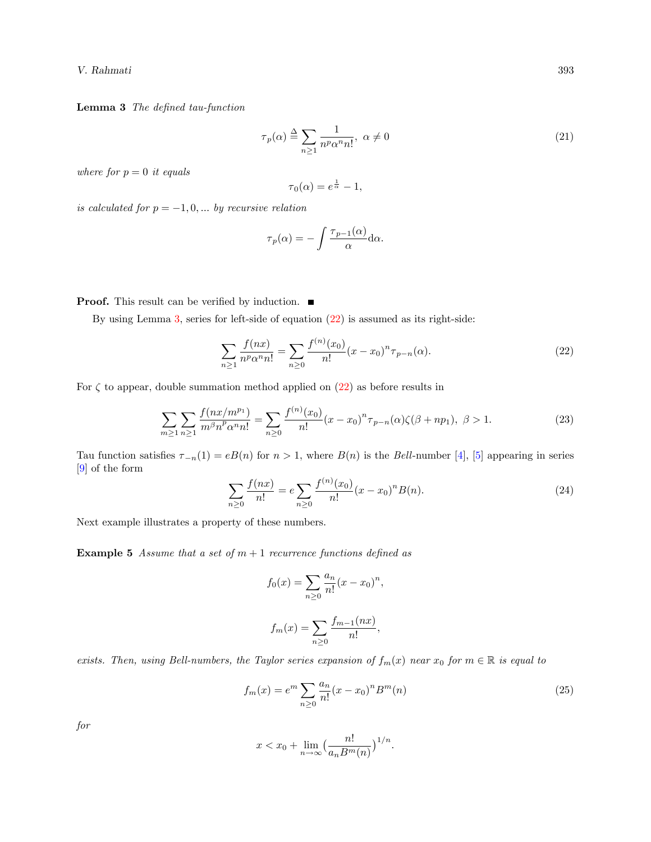V. Rahmati 393

Lemma 3 The defined tau-function

$$
\tau_p(\alpha) \stackrel{\Delta}{=} \sum_{n \ge 1} \frac{1}{n^p \alpha^n n!}, \ \alpha \ne 0 \tag{21}
$$

where for  $p = 0$  it equals

$$
\tau_0(\alpha) = e^{\frac{1}{\alpha}} - 1,
$$

is calculated for  $p = -1, 0, \dots$  by recursive relation

$$
\tau_p(\alpha) = -\int \frac{\tau_{p-1}(\alpha)}{\alpha} d\alpha.
$$

**Proof.** This result can be verified by induction.  $\blacksquare$ 

By using Lemma [3,](#page-4-3) series for left-side of equation [\(22\)](#page-5-0) is assumed as its right-side:

<span id="page-5-0"></span>
$$
\sum_{n\geq 1} \frac{f(nx)}{n^p \alpha^n n!} = \sum_{n\geq 0} \frac{f^{(n)}(x_0)}{n!} (x - x_0)^n \tau_{p-n}(\alpha).
$$
 (22)

For  $\zeta$  to appear, double summation method applied on  $(22)$  as before results in

$$
\sum_{m\geq 1} \sum_{n\geq 1} \frac{f(nx/m^{p_1})}{m^{\beta}n^p \alpha^n n!} = \sum_{n\geq 0} \frac{f^{(n)}(x_0)}{n!} (x - x_0)^n \tau_{p-n}(\alpha) \zeta(\beta + np_1), \ \beta > 1. \tag{23}
$$

Tau function satisfies  $\tau_{-n}(1) = eB(n)$  for  $n > 1$ , where  $B(n)$  is the Bell-number [\[4\]](#page-8-4), [\[5\]](#page-8-5) appearing in series [\[9\]](#page-9-7) of the form

$$
\sum_{n\geq 0} \frac{f(nx)}{n!} = e \sum_{n\geq 0} \frac{f^{(n)}(x_0)}{n!} (x - x_0)^n B(n). \tag{24}
$$

Next example illustrates a property of these numbers.

**Example 5** Assume that a set of  $m + 1$  recurrence functions defined as

$$
f_0(x) = \sum_{n\geq 0} \frac{a_n}{n!} (x - x_0)^n,
$$
  

$$
f_m(x) = \sum_{n\geq 0} \frac{f_{m-1}(nx)}{n!},
$$

exists. Then, using Bell-numbers, the Taylor series expansion of  $f_m(x)$  near  $x_0$  for  $m \in \mathbb{R}$  is equal to

$$
f_m(x) = e^m \sum_{n \ge 0} \frac{a_n}{n!} (x - x_0)^n B^m(n)
$$
 (25)

for

$$
x < x_0 + \lim_{n \to \infty} \left( \frac{n!}{a_n B^m(n)} \right)^{1/n}.
$$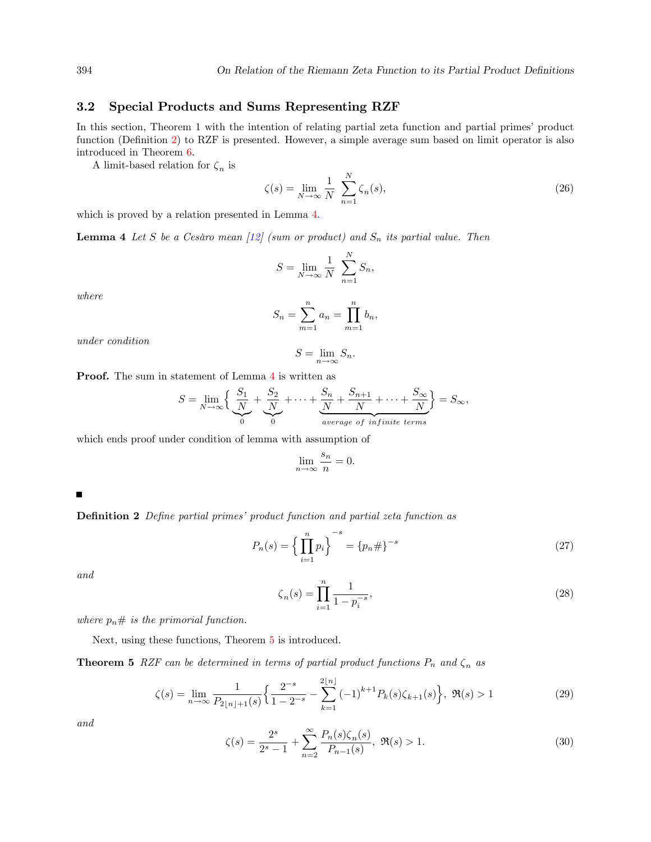#### <span id="page-6-0"></span>3.2 Special Products and Sums Representing RZF

In this section, Theorem 1 with the intention of relating partial zeta function and partial primes' product function (Definition [2\)](#page-6-1) to RZF is presented. However, a simple average sum based on limit operator is also introduced in Theorem [6.](#page-7-0)

A limit-based relation for  $\zeta_n$  is

$$
\zeta(s) = \lim_{N \to \infty} \frac{1}{N} \sum_{n=1}^{N} \zeta_n(s),\tag{26}
$$

which is proved by a relation presented in Lemma [4.](#page-6-2)

<span id="page-6-2"></span>**Lemma 4** Let S be a Cesàro mean  $\left[12\right]$  (sum or product) and  $S_n$  its partial value. Then

$$
S = \lim_{N \to \infty} \frac{1}{N} \sum_{n=1}^{N} S_n,
$$

where

$$
S_n = \sum_{m=1}^n a_m = \prod_{m=1}^n b_m,
$$

under condition

$$
S = \lim_{n \to \infty} S_n.
$$

Proof. The sum in statement of Lemma [4](#page-6-2) is written as

$$
S = \lim_{N \to \infty} \left\{ \underbrace{\frac{S_1}{N}}_{0} + \underbrace{\frac{S_2}{N}}_{0} + \dots + \underbrace{\frac{S_n}{N} + \frac{S_{n+1}}{N}}_{average \ of \ infinite \ terms} + \dots + \frac{S_{\infty}}{N} \right\} = S_{\infty},
$$

which ends proof under condition of lemma with assumption of

$$
\lim_{n \to \infty} \frac{s_n}{n} = 0.
$$

<span id="page-6-1"></span>Е

**Definition 2** Define partial primes' product function and partial zeta function as

$$
P_n(s) = \left\{ \prod_{i=1}^n p_i \right\}^{-s} = \left\{ p_n \# \right\}^{-s} \tag{27}
$$

and

$$
\zeta_n(s) = \prod_{i=1}^n \frac{1}{1 - p_i^{-s}},\tag{28}
$$

where  $p_n \#$  is the primorial function.

Next, using these functions, Theorem [5](#page-6-3) is introduced.

<span id="page-6-3"></span>**Theorem 5** RZF can be determined in terms of partial product functions  $P_n$  and  $\zeta_n$  as

<span id="page-6-5"></span>
$$
\zeta(s) = \lim_{n \to \infty} \frac{1}{P_{2\lfloor n \rfloor + 1}(s)} \left\{ \frac{2^{-s}}{1 - 2^{-s}} - \sum_{k=1}^{2\lfloor n \rfloor} (-1)^{k+1} P_k(s) \zeta_{k+1}(s) \right\}, \ \Re(s) > 1 \tag{29}
$$

and

<span id="page-6-4"></span>
$$
\zeta(s) = \frac{2^s}{2^s - 1} + \sum_{n=2}^{\infty} \frac{P_n(s)\zeta_n(s)}{P_{n-1}(s)}, \ \Re(s) > 1. \tag{30}
$$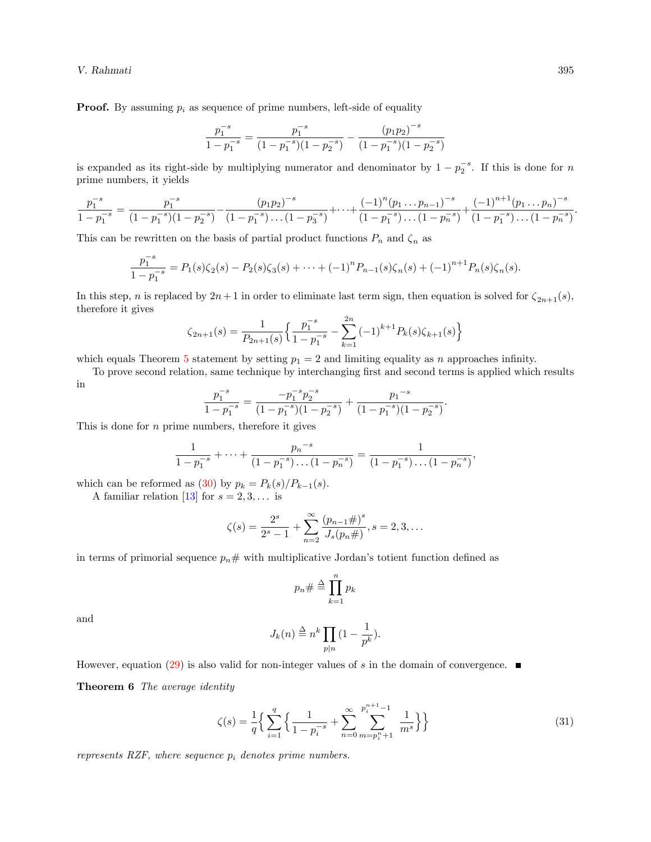V. Rahmati 395

**Proof.** By assuming  $p_i$  as sequence of prime numbers, left-side of equality

$$
\frac{p_1^{-s}}{1-p_1^{-s}}=\frac{p_1^{-s}}{(1-p_1^{-s})(1-p_2^{-s})}-\frac{\left(p_1p_2\right)^{-s}}{(1-p_1^{-s})(1-p_2^{-s})}
$$

is expanded as its right-side by multiplying numerator and denominator by  $1 - p_2^{-s}$ . If this is done for n prime numbers, it yields

$$
\frac{p_1^{-s}}{1-p_1^{-s}} = \frac{p_1^{-s}}{(1-p_1^{-s})(1-p_2^{-s})} - \frac{(p_1p_2)^{-s}}{(1-p_1^{-s})\dots(1-p_3^{-s})} + \dots + \frac{(-1)^n(p_1\dots p_{n-1})^{-s}}{(1-p_1^{-s})\dots(1-p_n^{-s})} + \frac{(-1)^{n+1}(p_1\dots p_n)^{-s}}{(1-p_1^{-s})\dots(1-p_n^{-s})}.
$$

This can be rewritten on the basis of partial product functions  $P_n$  and  $\zeta_n$  as

$$
\frac{p_1^{-s}}{1-p_1^{-s}} = P_1(s)\zeta_2(s) - P_2(s)\zeta_3(s) + \dots + (-1)^n P_{n-1}(s)\zeta_n(s) + (-1)^{n+1} P_n(s)\zeta_n(s).
$$

In this step, n is replaced by  $2n+1$  in order to eliminate last term sign, then equation is solved for  $\zeta_{2n+1}(s)$ , therefore it gives

$$
\zeta_{2n+1}(s) = \frac{1}{P_{2n+1}(s)} \left\{ \frac{p_1^{-s}}{1 - p_1^{-s}} - \sum_{k=1}^{2n} (-1)^{k+1} P_k(s) \zeta_{k+1}(s) \right\}
$$

which equals Theorem [5](#page-6-3) statement by setting  $p_1 = 2$  and limiting equality as n approaches infinity.

To prove second relation, same technique by interchanging Örst and second terms is applied which results in

$$
\frac{p_1^{-s}}{1-p_1^{-s}} = \frac{-p_1^{-s}p_2^{-s}}{(1-p_1^{-s})(1-p_2^{-s})} + \frac{p_1^{-s}}{(1-p_1^{-s})(1-p_2^{-s})}.
$$

This is done for  $n$  prime numbers, therefore it gives

$$
\frac{1}{1-p_1^{-s}} + \dots + \frac{p_n^{-s}}{(1-p_1^{-s})\dots(1-p_n^{-s})} = \frac{1}{(1-p_1^{-s})\dots(1-p_n^{-s})},
$$

which can be reformed as [\(30\)](#page-6-4) by  $p_k = P_k(s)/P_{k-1}(s)$ .

A familiar relation [\[13\]](#page-9-9) for  $s = 2, 3, \ldots$  is

$$
\zeta(s) = \frac{2^s}{2^s - 1} + \sum_{n=2}^{\infty} \frac{(p_{n-1} \#)^s}{J_s(p_n \#)}, s = 2, 3, \dots
$$

in terms of primorial sequence  $p_n \#$  with multiplicative Jordan's totient function defined as

$$
p_n \# \stackrel{\Delta}{=} \prod_{k=1}^n p_k
$$

and

$$
J_k(n) \stackrel{\Delta}{=} n^k \prod_{p|n} \left(1 - \frac{1}{p^k}\right).
$$

<span id="page-7-0"></span>However, equation [\(29\)](#page-6-5) is also valid for non-integer values of s in the domain of convergence.  $\blacksquare$ 

Theorem 6 The average identity

<span id="page-7-1"></span>
$$
\zeta(s) = \frac{1}{q} \Big\{ \sum_{i=1}^{q} \Big\{ \frac{1}{1 - p_i^{-s}} + \sum_{n=0}^{\infty} \sum_{m=p_i^{n+1}}^{p_i^{n+1}-1} \frac{1}{m^s} \Big\} \Big\}
$$
(31)

represents RZF, where sequence  $p_i$  denotes prime numbers.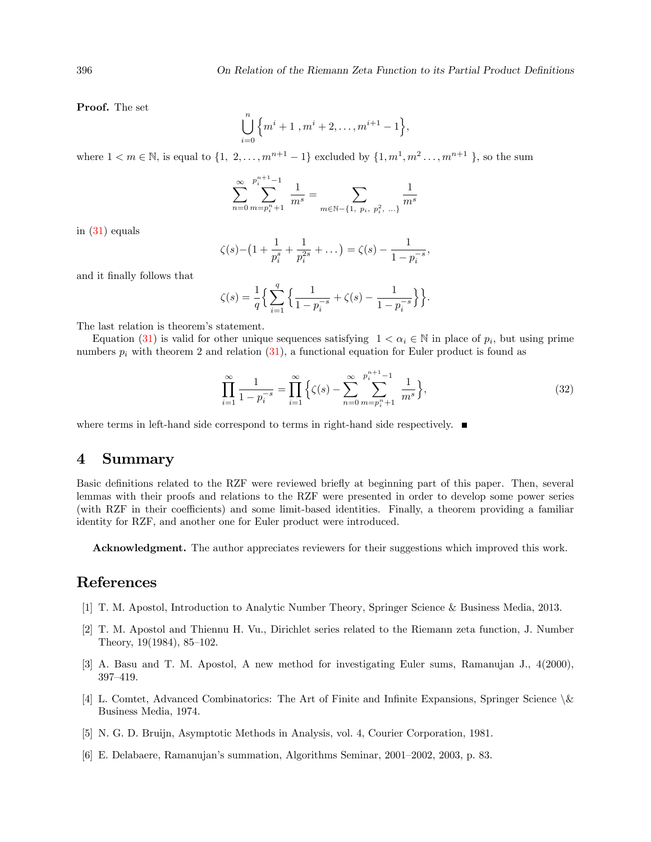Proof. The set

$$
\bigcup_{i=0}^{n} \left\{ m^{i}+1, m^{i}+2, \ldots, m^{i+1}-1 \right\},\,
$$

where  $1 < m \in \mathbb{N}$ , is equal to  $\{1, 2, \ldots, m^{n+1} - 1\}$  excluded by  $\{1, m^1, m^2 \ldots, m^{n+1}\}$ , so the sum

$$
\sum_{n=0}^{\infty} \sum_{m=p_i^n+1}^{p_i^{n+1}-1} \frac{1}{m^s} = \sum_{m \in \mathbb{N}-\{1, p_i, p_i^2, \dots\}} \frac{1}{m^s}
$$

in [\(31\)](#page-7-1) equals

$$
\zeta(s) - \left(1 + \frac{1}{p_i^s} + \frac{1}{p_i^{2s}} + \dots\right) = \zeta(s) - \frac{1}{1 - p_i^{-s}},
$$

and it Önally follows that

$$
\zeta(s) = \frac{1}{q} \Big\{ \sum_{i=1}^{q} \Big\{ \frac{1}{1 - p_i^{-s}} + \zeta(s) - \frac{1}{1 - p_i^{-s}} \Big\} \Big\}.
$$

The last relation is theorem's statement.

Equation [\(31\)](#page-7-1) is valid for other unique sequences satisfying  $1 < \alpha_i \in \mathbb{N}$  in place of  $p_i$ , but using prime numbers  $p_i$  with theorem 2 and relation [\(31\)](#page-7-1), a functional equation for Euler product is found as

$$
\prod_{i=1}^{\infty} \frac{1}{1 - p_i^{-s}} = \prod_{i=1}^{\infty} \left\{ \zeta(s) - \sum_{n=0}^{\infty} \sum_{m=p_i^{\text{n}}+1}^{p_i^{\text{n}}+1} \frac{1}{m^s} \right\},\tag{32}
$$

where terms in left-hand side correspond to terms in right-hand side respectively.  $\blacksquare$ 

#### 4 Summary

Basic definitions related to the RZF were reviewed briefly at beginning part of this paper. Then, several lemmas with their proofs and relations to the RZF were presented in order to develop some power series (with RZF in their coefficients) and some limit-based identities. Finally, a theorem providing a familiar identity for RZF, and another one for Euler product were introduced.

Acknowledgment. The author appreciates reviewers for their suggestions which improved this work.

#### References

- <span id="page-8-0"></span>[1] T. M. Apostol, Introduction to Analytic Number Theory, Springer Science & Business Media, 2013.
- <span id="page-8-1"></span>[2] T. M. Apostol and Thiennu H. Vu., Dirichlet series related to the Riemann zeta function, J. Number Theory,  $19(1984)$ ,  $85-102$ .
- <span id="page-8-2"></span>[3] A. Basu and T. M. Apostol, A new method for investigating Euler sums, Ramanujan J., 4(2000), 397-419.
- <span id="page-8-4"></span>[4] L. Comtet, Advanced Combinatorics: The Art of Finite and Infinite Expansions, Springer Science  $\&$ Business Media, 1974.
- <span id="page-8-5"></span>[5] N. G. D. Bruijn, Asymptotic Methods in Analysis, vol. 4, Courier Corporation, 1981.
- <span id="page-8-3"></span>[6] E. Delabaere, Ramanujan's summation, Algorithms Seminar, 2001–2002, 2003, p. 83.